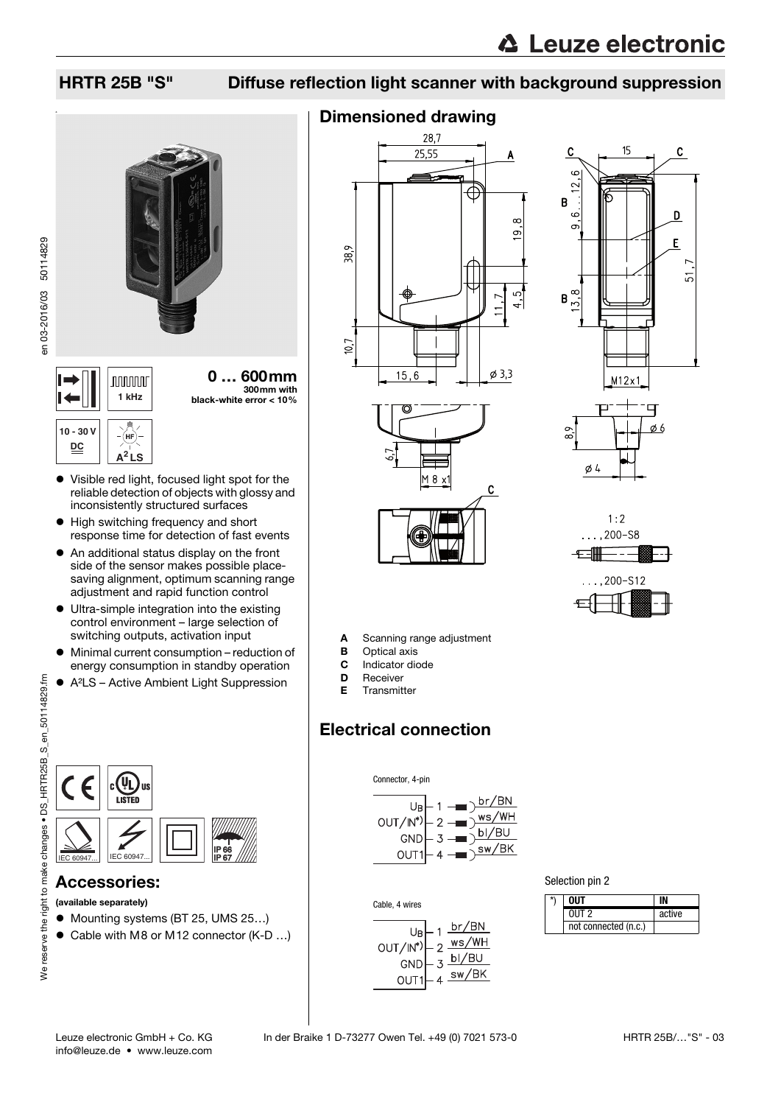### HRTR 25B "S" Diffuse reflection light scanner with background suppression



0 … 600mm 300mm with **1 kHz** black-white error < 10%

#### **10 - 30 V** (нғ **DC A<sup>2</sup> LS**

en 03-2016/03 50114829

en 03-2016/03 50114829

- Visible red light, focused light spot for the reliable detection of objects with glossy and inconsistently structured surfaces
- High switching frequency and short response time for detection of fast events
- An additional status display on the front side of the sensor makes possible placesaving alignment, optimum scanning range adjustment and rapid function control
- Ultra-simple integration into the existing control environment – large selection of switching outputs, activation input
- Minimal current consumption reduction of energy consumption in standby operation
- A²LS Active Ambient Light Suppression



#### Accessories:

- (available separately)
- Mounting systems (BT 25, UMS 25...)
- Cable with M8 or M12 connector (K-D ...)

# Dimensioned drawing









A Scanning range adjustment

- **B** Optical axis
- C Indicator diode
- **D** Receiver E Transmitter
- Electrical connection

Cable, 4 wires

 $OUT/N^*)$ 

U<sub>B</sub>

GND

OUT<sub>1</sub>

 $\overline{2}$ 

 $-3$ 



br/BN

ws/WH

bl/BU

 $\frac{3}{4}$  sw/BK

Selection pin 2

| *\ | <b>OUT</b>           |        |
|----|----------------------|--------|
|    | $0$ IJT $2$          | active |
|    | not connected (n.c.) |        |



Connector, 4-pin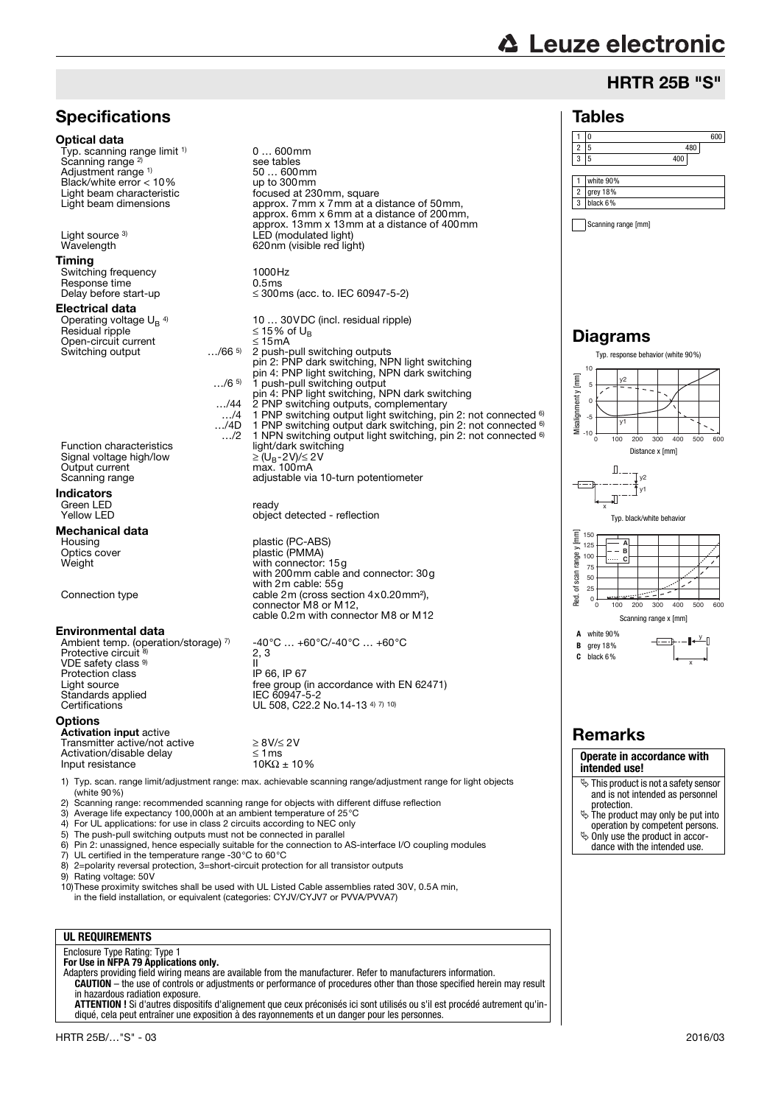# **△ Leuze electronic**

#### HRTR 25B "S"

#### Tables



Scanning range [mm]

#### Diagrams



#### Remarks

**Operate in accordance with intended use!**

- This product is not a safety sensor and is not intended as personnel
- protection. The product may only be put into operation by competent persons.
- $\ddot{\phi}$  Only use the product in accordance with the intended use.



**Specifications** 

10)These proximity switches shall be used with UL Listed Cable assemblies rated 30V, 0.5A min, in the field installation, or equivalent (categories: CYJV/CYJV7 or PVVA/PVVA7)

#### **UL REQUIREMENTS**

# Enclosure Type Rating: Type 1 **For Use in NFPA 79 Applications only.**

Adapters providing field wiring means are available from the manufacturer. Refer to manufacturers information. **CAUTION** – the use of controls or adjustments or performance of procedures other than those specified herein may result

in hazardous radiation exposure. **ATTENTION !** Si d'autres dispositifs d'alignement que ceux préconisés ici sont utilisés ou s'il est procédé autrement qu'indiqué, cela peut entraîner une exposition à des rayonnements et un danger pour les personnes.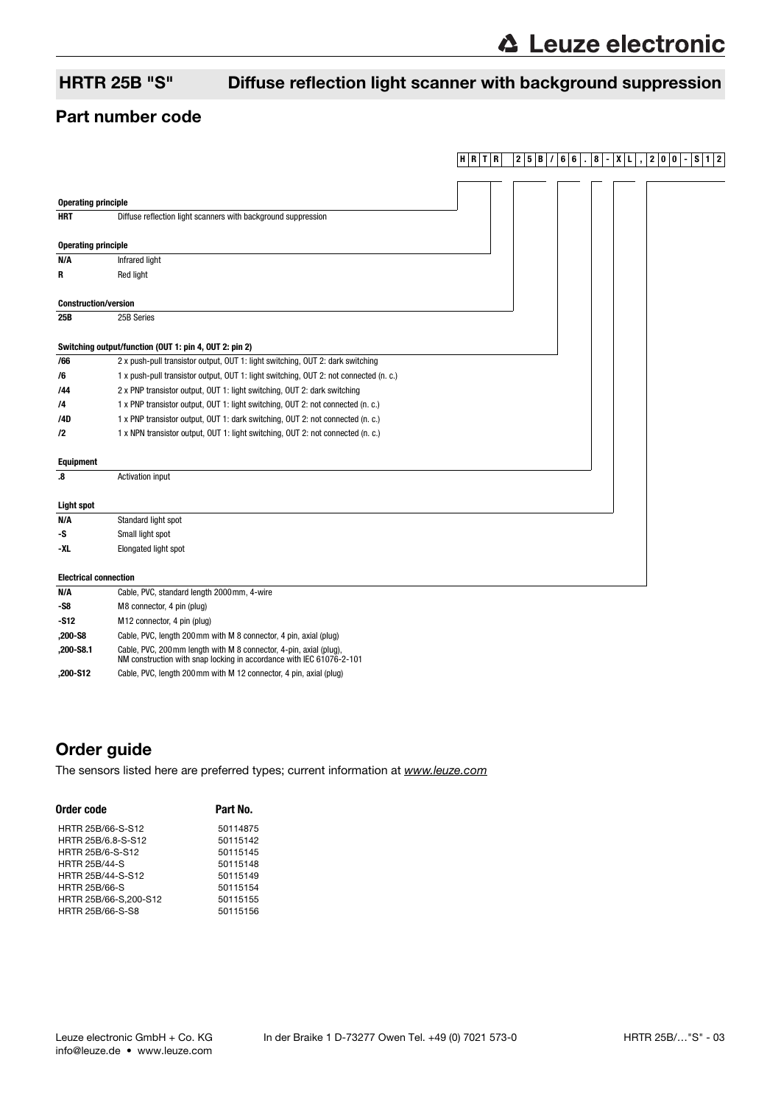**HRTR 25B/ 66 . 8 -XL , 200 -S12**

# HRTR 25B "S" Diffuse reflection light scanner with background suppression

#### Part number code

| <b>Operating principle</b>                             |                                                                                                                                            |  |  |
|--------------------------------------------------------|--------------------------------------------------------------------------------------------------------------------------------------------|--|--|
| <b>HRT</b>                                             | Diffuse reflection light scanners with background suppression                                                                              |  |  |
|                                                        |                                                                                                                                            |  |  |
| <b>Operating principle</b>                             |                                                                                                                                            |  |  |
| N/A                                                    | <b>Infrared light</b>                                                                                                                      |  |  |
| R                                                      | Red light                                                                                                                                  |  |  |
|                                                        |                                                                                                                                            |  |  |
| <b>Construction/version</b>                            |                                                                                                                                            |  |  |
| 25B                                                    | 25B Series                                                                                                                                 |  |  |
|                                                        |                                                                                                                                            |  |  |
| Switching output/function (OUT 1: pin 4, OUT 2: pin 2) |                                                                                                                                            |  |  |
| /66                                                    | 2 x push-pull transistor output, OUT 1: light switching, OUT 2: dark switching                                                             |  |  |
| /6                                                     | 1 x push-pull transistor output, OUT 1: light switching, OUT 2: not connected (n. c.)                                                      |  |  |
| /44                                                    | 2 x PNP transistor output, OUT 1: light switching, OUT 2: dark switching                                                                   |  |  |
| /4                                                     | 1 x PNP transistor output, OUT 1: light switching, OUT 2: not connected (n. c.)                                                            |  |  |
| /4D                                                    | 1 x PNP transistor output, OUT 1: dark switching, OUT 2: not connected (n. c.)                                                             |  |  |
| /2                                                     | 1 x NPN transistor output, OUT 1: light switching, OUT 2: not connected (n. c.)                                                            |  |  |
|                                                        |                                                                                                                                            |  |  |
| <b>Equipment</b>                                       |                                                                                                                                            |  |  |
| $\boldsymbol{.8}$                                      | Activation input                                                                                                                           |  |  |
|                                                        |                                                                                                                                            |  |  |
| <b>Light spot</b>                                      |                                                                                                                                            |  |  |
| N/A                                                    | Standard light spot                                                                                                                        |  |  |
| -S                                                     | Small light spot                                                                                                                           |  |  |
| -XL                                                    | Elongated light spot                                                                                                                       |  |  |
|                                                        |                                                                                                                                            |  |  |
| <b>Electrical connection</b>                           |                                                                                                                                            |  |  |
| N/A                                                    | Cable, PVC, standard length 2000mm, 4-wire                                                                                                 |  |  |
| -S8                                                    | M8 connector, 4 pin (plug)                                                                                                                 |  |  |
| -S12                                                   | M12 connector, 4 pin (plug)                                                                                                                |  |  |
| ,200-S8                                                | Cable, PVC, length 200mm with M 8 connector, 4 pin, axial (plug)                                                                           |  |  |
| ,200-S8.1                                              | Cable, PVC, 200 mm length with M 8 connector, 4-pin, axial (plug),<br>NM construction with snap locking in accordance with IEC 61076-2-101 |  |  |

**,200-S12** Cable, PVC, length 200mm with M 12 connector, 4 pin, axial (plug)

### Order guide

[The sensors listed here are preferred types; current information at](http://www.leuze.com) www.leuze.com

| Part No. |
|----------|
| 50114875 |
| 50115142 |
| 50115145 |
| 50115148 |
| 50115149 |
| 50115154 |
| 50115155 |
| 50115156 |
|          |